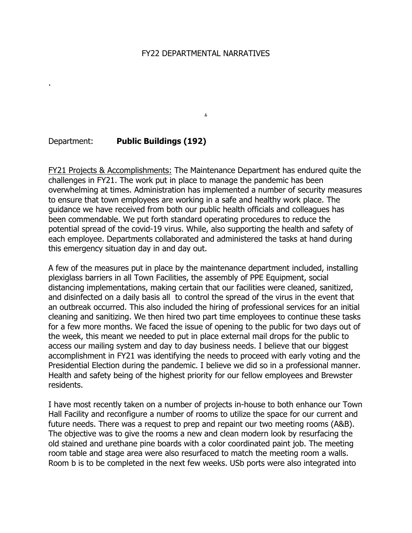#### FY22 DEPARTMENTAL NARRATIVES

.

## Department: **Public Buildings (192)**

.

FY21 Projects & Accomplishments: The Maintenance Department has endured quite the challenges in FY21. The work put in place to manage the pandemic has been overwhelming at times. Administration has implemented a number of security measures to ensure that town employees are working in a safe and healthy work place. The guidance we have received from both our public health officials and colleagues has been commendable. We put forth standard operating procedures to reduce the potential spread of the covid-19 virus. While, also supporting the health and safety of each employee. Departments collaborated and administered the tasks at hand during this emergency situation day in and day out.

A few of the measures put in place by the maintenance department included, installing plexiglass barriers in all Town Facilities, the assembly of PPE Equipment, social distancing implementations, making certain that our facilities were cleaned, sanitized, and disinfected on a daily basis all to control the spread of the virus in the event that an outbreak occurred. This also included the hiring of professional services for an initial cleaning and sanitizing. We then hired two part time employees to continue these tasks for a few more months. We faced the issue of opening to the public for two days out of the week, this meant we needed to put in place external mail drops for the public to access our mailing system and day to day business needs. I believe that our biggest accomplishment in FY21 was identifying the needs to proceed with early voting and the Presidential Election during the pandemic. I believe we did so in a professional manner. Health and safety being of the highest priority for our fellow employees and Brewster residents.

I have most recently taken on a number of projects in-house to both enhance our Town Hall Facility and reconfigure a number of rooms to utilize the space for our current and future needs. There was a request to prep and repaint our two meeting rooms (A&B). The objective was to give the rooms a new and clean modern look by resurfacing the old stained and urethane pine boards with a color coordinated paint job. The meeting room table and stage area were also resurfaced to match the meeting room a walls. Room b is to be completed in the next few weeks. USb ports were also integrated into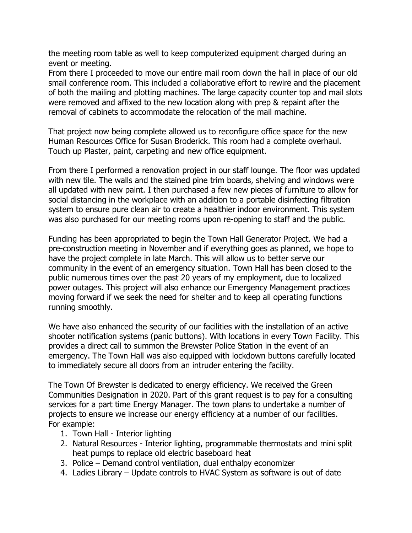the meeting room table as well to keep computerized equipment charged during an event or meeting.

From there I proceeded to move our entire mail room down the hall in place of our old small conference room. This included a collaborative effort to rewire and the placement of both the mailing and plotting machines. The large capacity counter top and mail slots were removed and affixed to the new location along with prep & repaint after the removal of cabinets to accommodate the relocation of the mail machine.

That project now being complete allowed us to reconfigure office space for the new Human Resources Office for Susan Broderick. This room had a complete overhaul. Touch up Plaster, paint, carpeting and new office equipment.

From there I performed a renovation project in our staff lounge. The floor was updated with new tile. The walls and the stained pine trim boards, shelving and windows were all updated with new paint. I then purchased a few new pieces of furniture to allow for social distancing in the workplace with an addition to a portable disinfecting filtration system to ensure pure clean air to create a healthier indoor environment. This system was also purchased for our meeting rooms upon re-opening to staff and the public.

Funding has been appropriated to begin the Town Hall Generator Project. We had a pre-construction meeting in November and if everything goes as planned, we hope to have the project complete in late March. This will allow us to better serve our community in the event of an emergency situation. Town Hall has been closed to the public numerous times over the past 20 years of my employment, due to localized power outages. This project will also enhance our Emergency Management practices moving forward if we seek the need for shelter and to keep all operating functions running smoothly.

We have also enhanced the security of our facilities with the installation of an active shooter notification systems (panic buttons). With locations in every Town Facility. This provides a direct call to summon the Brewster Police Station in the event of an emergency. The Town Hall was also equipped with lockdown buttons carefully located to immediately secure all doors from an intruder entering the facility.

The Town Of Brewster is dedicated to energy efficiency. We received the Green Communities Designation in 2020. Part of this grant request is to pay for a consulting services for a part time Energy Manager. The town plans to undertake a number of projects to ensure we increase our energy efficiency at a number of our facilities. For example:

- 1. Town Hall Interior lighting
- 2. Natural Resources Interior lighting, programmable thermostats and mini split heat pumps to replace old electric baseboard heat
- 3. Police Demand control ventilation, dual enthalpy economizer
- 4. Ladies Library Update controls to HVAC System as software is out of date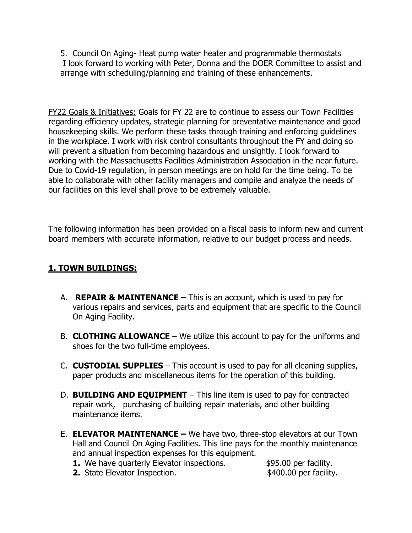5. Council On Aging- Heat pump water heater and programmable thermostats I look forward to working with Peter, Donna and the DOER Committee to assist and arrange with scheduling/planning and training of these enhancements.

FY22 Goals & Initiatives: Goals for FY 22 are to continue to assess our Town Facilities regarding efficiency updates, strategic planning for preventative maintenance and good housekeeping skills. We perform these tasks through training and enforcing guidelines in the workplace. I work with risk control consultants throughout the FY and doing so will prevent a situation from becoming hazardous and unsightly. I look forward to working with the Massachusetts Facilities Administration Association in the near future. Due to Covid-19 regulation, in person meetings are on hold for the time being. To be able to collaborate with other facility managers and compile and analyze the needs of our facilities on this level shall prove to be extremely valuable.

The following information has been provided on a fiscal basis to inform new and current board members with accurate information, relative to our budget process and needs.

# **1. TOWN BUILDINGS:**

- A. **REPAIR & MAINTENANCE** This is an account, which is used to pay for various repairs and services, parts and equipment that are specific to the Council On Aging Facility.
- B. **CLOTHING ALLOWANCE** We utilize this account to pay for the uniforms and shoes for the two full-time employees.
- C. **CUSTODIAL SUPPLIES**  This account is used to pay for all cleaning supplies, paper products and miscellaneous items for the operation of this building.
- D. **BUILDING AND EQUIPMENT** This line item is used to pay for contracted repair work, purchasing of building repair materials, and other building maintenance items.
- E. **ELEVATOR MAINTENANCE** We have two, three-stop elevators at our Town Hall and Council On Aging Facilities. This line pays for the monthly maintenance and annual inspection expenses for this equipment.
	- **1.** We have quarterly Elevator inspections.  $\frac{1}{2}$  \$95.00 per facility.
		-
	- **2.** State Elevator Inspection.  $\frac{1}{2}$  \$400.00 per facility.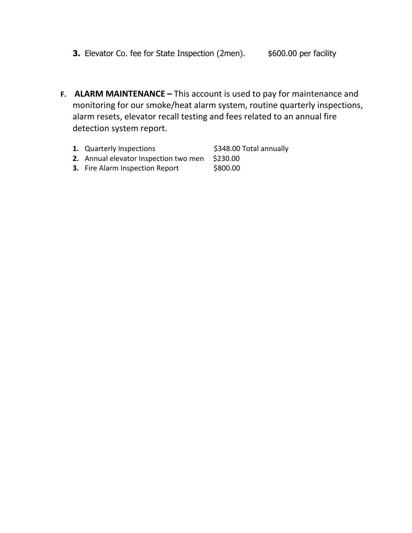- **3.** Elevator Co. fee for State Inspection (2men).  $$600.00$  per facility
- **F. ALARM MAINTENANCE** This account is used to pay for maintenance and monitoring for our smoke/heat alarm system, routine quarterly inspections, alarm resets, elevator recall testing and fees related to an annual fire detection system report.
	- **1.** Quarterly Inspections  $\frac{1}{2}$  \$348.00 Total annually
	- **2.** Annual elevator Inspection two men \$230.00
	- **3.** Fire Alarm Inspection Report \$800.00
- 
- -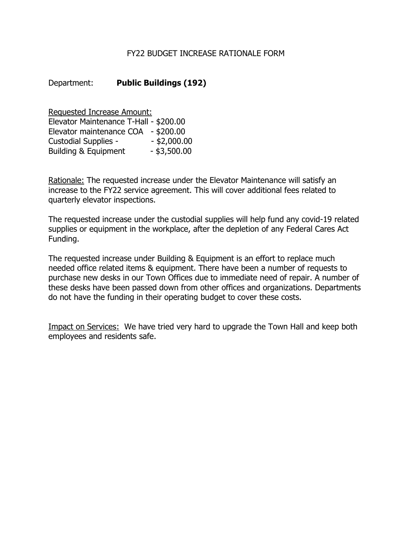## FY22 BUDGET INCREASE RATIONALE FORM

# Department: **Public Buildings (192)**

Requested Increase Amount: Elevator Maintenance T-Hall - \$200.00 Elevator maintenance COA - \$200.00 Custodial Supplies - - \$2,000.00 Building & Equipment - \$3,500.00

Rationale: The requested increase under the Elevator Maintenance will satisfy an increase to the FY22 service agreement. This will cover additional fees related to quarterly elevator inspections.

The requested increase under the custodial supplies will help fund any covid-19 related supplies or equipment in the workplace, after the depletion of any Federal Cares Act Funding.

The requested increase under Building & Equipment is an effort to replace much needed office related items & equipment. There have been a number of requests to purchase new desks in our Town Offices due to immediate need of repair. A number of these desks have been passed down from other offices and organizations. Departments do not have the funding in their operating budget to cover these costs.

Impact on Services: We have tried very hard to upgrade the Town Hall and keep both employees and residents safe.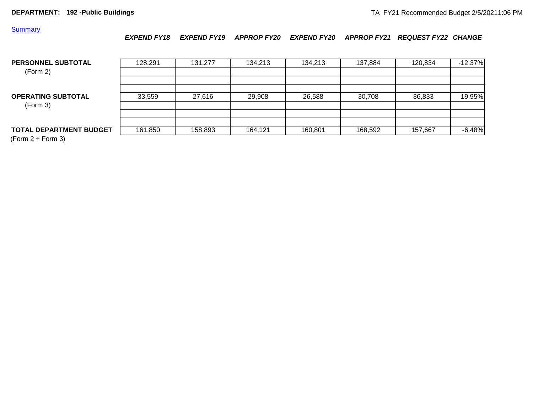#### **Summary**

*EXPEND FY18 EXPEND FY19 APPROP FY20 EXPEND FY20 APPROP FY21 REQUEST FY22 CHANGE*

| <b>PERSONNEL SUBTOTAL</b><br>(Form 2) | 128,291 | 131.277 | 134,213 | 134.213 | 137,884 | 120,834 | $-12.37%$ |
|---------------------------------------|---------|---------|---------|---------|---------|---------|-----------|
|                                       |         |         |         |         |         |         |           |
| <b>OPERATING SUBTOTAL</b><br>(Form 3) | 33,559  | 27,616  | 29,908  | 26,588  | 30,708  | 36,833  | 19.95%    |
|                                       |         |         |         |         |         |         |           |
| <b>TOTAL DEPARTMENT BUDGET</b>        | 161,850 | 158,893 | 164,121 | 160,801 | 168,592 | 157,667 | $-6.48%$  |

(Form 2 + Form 3)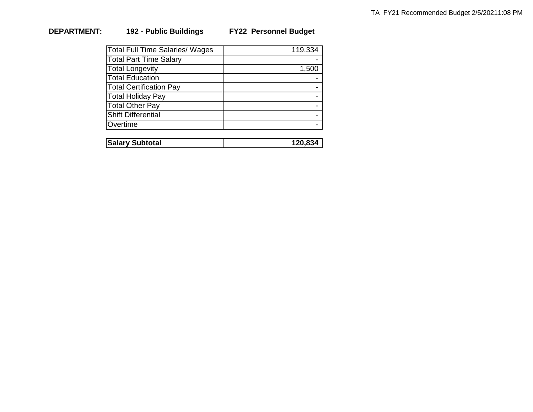# **DEPARTMENT: 192 - Public Buildings FY22 Personnel Budget**

| <b>Total Full Time Salaries/ Wages</b> | 119,334 |
|----------------------------------------|---------|
| <b>Total Part Time Salary</b>          |         |
| <b>Total Longevity</b>                 | 1,500   |
| <b>Total Education</b>                 |         |
| <b>Total Certification Pay</b>         |         |
| Total Holiday Pay                      |         |
| Total Other Pay                        |         |
| Shift Differential                     |         |
| Overtime                               |         |

| <b>Salary Subtotal</b> | '20.834 |
|------------------------|---------|
|                        |         |